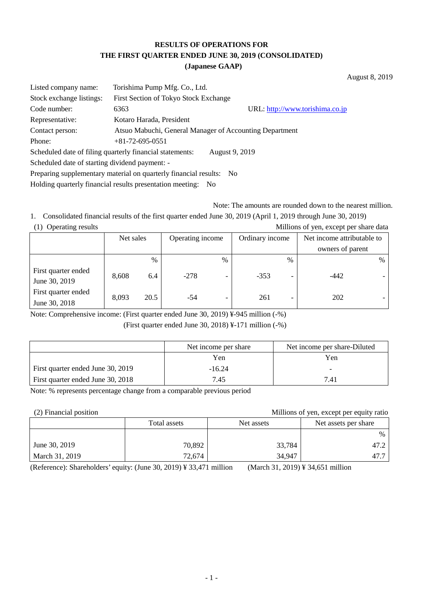## **RESULTS OF OPERATIONS FOR THE FIRST QUARTER ENDED JUNE 30, 2019 (CONSOLIDATED) (Japanese GAAP)**

August 8, 2019

| Listed company name:                                                | Torishima Pump Mfg. Co., Ltd.                            |                                 |  |  |  |
|---------------------------------------------------------------------|----------------------------------------------------------|---------------------------------|--|--|--|
| Stock exchange listings:                                            | First Section of Tokyo Stock Exchange                    |                                 |  |  |  |
| Code number:                                                        | 6363                                                     | URL: http://www.torishima.co.jp |  |  |  |
| Representative:                                                     | Kotaro Harada, President                                 |                                 |  |  |  |
| Contact person:                                                     | Atsuo Mabuchi, General Manager of Accounting Department  |                                 |  |  |  |
| Phone:                                                              | $+81-72-695-0551$                                        |                                 |  |  |  |
|                                                                     | Scheduled date of filing quarterly financial statements: | August 9, 2019                  |  |  |  |
| Scheduled date of starting dividend payment: -                      |                                                          |                                 |  |  |  |
| Preparing supplementary material on quarterly financial results: No |                                                          |                                 |  |  |  |
|                                                                     |                                                          |                                 |  |  |  |

Holding quarterly financial results presentation meeting: No

Note: The amounts are rounded down to the nearest million.

1. Consolidated financial results of the first quarter ended June 30, 2019 (April 1, 2019 through June 30, 2019) (1) Operating results Millions of yen, except per share data

| $(1)$ Operating results              | <b>MILLIONS</b> OF you, except per share data |               |                  |      |                 |      |                            |      |
|--------------------------------------|-----------------------------------------------|---------------|------------------|------|-----------------|------|----------------------------|------|
|                                      | Net sales                                     |               | Operating income |      | Ordinary income |      | Net income attributable to |      |
|                                      |                                               |               |                  |      |                 |      | owners of parent           |      |
|                                      |                                               | $\frac{0}{0}$ |                  | $\%$ |                 | $\%$ |                            | $\%$ |
| First quarter ended<br>June 30, 2019 | 8,608                                         | 6.4           | $-278$           |      | $-353$          |      | $-442$                     |      |
| First quarter ended<br>June 30, 2018 | 8,093                                         | 20.5          | -54              |      | 261             |      | 202                        |      |

Note: Comprehensive income: (First quarter ended June 30, 2019) ¥-945 million (-%)

(First quarter ended June 30, 2018) ¥-171 million (-%)

|                                   | Net income per share | Net income per share-Diluted |
|-----------------------------------|----------------------|------------------------------|
|                                   | Yen                  | Yen                          |
| First quarter ended June 30, 2019 | $-16.24$             |                              |
| First quarter ended June 30, 2018 | 7.45                 | 7.41                         |

Note: % represents percentage change from a comparable previous period

(2) Financial position Millions of yen, except per equity ratio

|                | Total assets | Net assets | Net assets per share |
|----------------|--------------|------------|----------------------|
|                |              |            | $\%$                 |
| June 30, 2019  | 70,892       | 33,784     | 47.2                 |
| March 31, 2019 | 72,674       | 34,947     | 47.7                 |

(Reference): Shareholders' equity: (June 30, 2019) ¥ 33,471 million (March 31, 2019) ¥ 34,651 million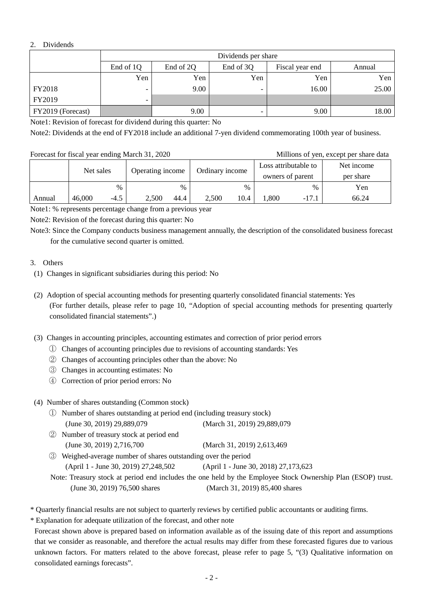### 2. Dividends

|                   | Dividends per share |                                                     |                          |       |       |  |  |  |  |
|-------------------|---------------------|-----------------------------------------------------|--------------------------|-------|-------|--|--|--|--|
|                   | End of 1Q           | End of 2Q<br>End of 3Q<br>Fiscal year end<br>Annual |                          |       |       |  |  |  |  |
|                   | Yen                 | Yen                                                 | Yen                      | Yen   | Yen   |  |  |  |  |
| <b>FY2018</b>     | -                   | 9.00                                                |                          | 16.00 | 25.00 |  |  |  |  |
| FY2019            | ۰                   |                                                     |                          |       |       |  |  |  |  |
| FY2019 (Forecast) |                     | 9.00                                                | $\overline{\phantom{0}}$ | 9.00  | 18.00 |  |  |  |  |

Note1: Revision of forecast for dividend during this quarter: No

Note2: Dividends at the end of FY2018 include an additional 7-yen dividend commemorating 100th year of business.

#### Forecast for fiscal year ending March 31, 2020 Millions of yen, except per share data

|        | Net sales |             | Operating income |              | Ordinary income |              | Loss attributable to<br>owners of parent |                 | Net income<br>per share |
|--------|-----------|-------------|------------------|--------------|-----------------|--------------|------------------------------------------|-----------------|-------------------------|
| Annual | 46,000    | %<br>$-4.5$ | 2,500            | $\%$<br>44.4 | 2.500           | $\%$<br>10.4 | .800                                     | $\%$<br>$-17.1$ | Yen<br>66.24            |

Note1: % represents percentage change from a previous year

Note2: Revision of the forecast during this quarter: No

Note3: Since the Company conducts business management annually, the description of the consolidated business forecast for the cumulative second quarter is omitted.

## 3. Others

- (1) Changes in significant subsidiaries during this period: No
- (2) Adoption of special accounting methods for presenting quarterly consolidated financial statements: Yes (For further details, please refer to page 10, "Adoption of special accounting methods for presenting quarterly consolidated financial statements".)
- (3) Changes in accounting principles, accounting estimates and correction of prior period errors
	- ① Changes of accounting principles due to revisions of accounting standards: Yes
	- ② Changes of accounting principles other than the above: No
	- ③ Changes in accounting estimates: No
	- ④ Correction of prior period errors: No

#### (4) Number of shares outstanding (Common stock)

- ① Number of shares outstanding at period end (including treasury stock) (June 30, 2019) 29,889,079 (March 31, 2019) 29,889,079
- ② Number of treasury stock at period end (June 30, 2019) 2,716,700 (March 31, 2019) 2,613,469
- ③ Weighed-average number of shares outstanding over the period (April 1 - June 30, 2019) 27,248,502 (April 1 - June 30, 2018) 27,173,623

Note: Treasury stock at period end includes the one held by the Employee Stock Ownership Plan (ESOP) trust. (June 30, 2019) 76,500 shares (March 31, 2019) 85,400 shares

\* Quarterly financial results are not subject to quarterly reviews by certified public accountants or auditing firms.

\* Explanation for adequate utilization of the forecast, and other note

Forecast shown above is prepared based on information available as of the issuing date of this report and assumptions that we consider as reasonable, and therefore the actual results may differ from these forecasted figures due to various unknown factors. For matters related to the above forecast, please refer to page 5, "(3) Qualitative information on consolidated earnings forecasts".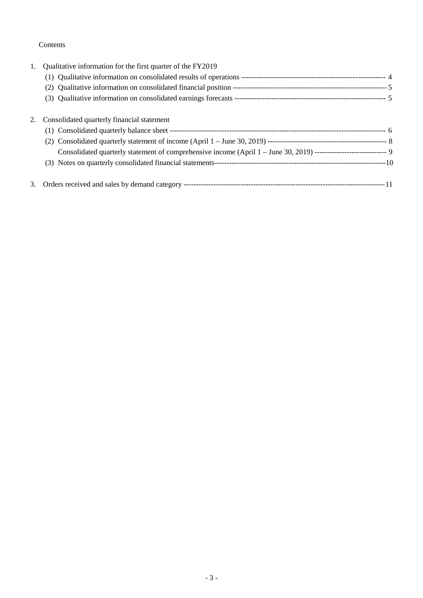## Contents

| 1. | Qualitative information for the first quarter of the FY2019                                                       |  |
|----|-------------------------------------------------------------------------------------------------------------------|--|
|    |                                                                                                                   |  |
|    |                                                                                                                   |  |
|    |                                                                                                                   |  |
| 2. | Consolidated quarterly financial statement                                                                        |  |
|    |                                                                                                                   |  |
|    |                                                                                                                   |  |
|    | Consolidated quarterly statement of comprehensive income (April 1 - June 30, 2019) ---------------------------- 9 |  |
|    |                                                                                                                   |  |
| 3. |                                                                                                                   |  |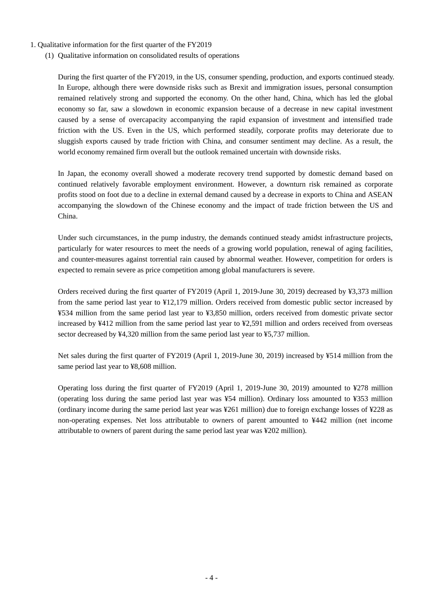- 1. Qualitative information for the first quarter of the FY2019
	- (1) Qualitative information on consolidated results of operations

During the first quarter of the FY2019, in the US, consumer spending, production, and exports continued steady. In Europe, although there were downside risks such as Brexit and immigration issues, personal consumption remained relatively strong and supported the economy. On the other hand, China, which has led the global economy so far, saw a slowdown in economic expansion because of a decrease in new capital investment caused by a sense of overcapacity accompanying the rapid expansion of investment and intensified trade friction with the US. Even in the US, which performed steadily, corporate profits may deteriorate due to sluggish exports caused by trade friction with China, and consumer sentiment may decline. As a result, the world economy remained firm overall but the outlook remained uncertain with downside risks.

In Japan, the economy overall showed a moderate recovery trend supported by domestic demand based on continued relatively favorable employment environment. However, a downturn risk remained as corporate profits stood on foot due to a decline in external demand caused by a decrease in exports to China and ASEAN accompanying the slowdown of the Chinese economy and the impact of trade friction between the US and China.

Under such circumstances, in the pump industry, the demands continued steady amidst infrastructure projects, particularly for water resources to meet the needs of a growing world population, renewal of aging facilities, and counter-measures against torrential rain caused by abnormal weather. However, competition for orders is expected to remain severe as price competition among global manufacturers is severe.

Orders received during the first quarter of FY2019 (April 1, 2019-June 30, 2019) decreased by ¥3,373 million from the same period last year to ¥12,179 million. Orders received from domestic public sector increased by ¥534 million from the same period last year to ¥3,850 million, orders received from domestic private sector increased by ¥412 million from the same period last year to ¥2,591 million and orders received from overseas sector decreased by ¥4,320 million from the same period last year to ¥5,737 million.

Net sales during the first quarter of FY2019 (April 1, 2019-June 30, 2019) increased by ¥514 million from the same period last year to ¥8,608 million.

Operating loss during the first quarter of FY2019 (April 1, 2019-June 30, 2019) amounted to ¥278 million (operating loss during the same period last year was ¥54 million). Ordinary loss amounted to ¥353 million (ordinary income during the same period last year was ¥261 million) due to foreign exchange losses of ¥228 as non-operating expenses. Net loss attributable to owners of parent amounted to ¥442 million (net income attributable to owners of parent during the same period last year was ¥202 million).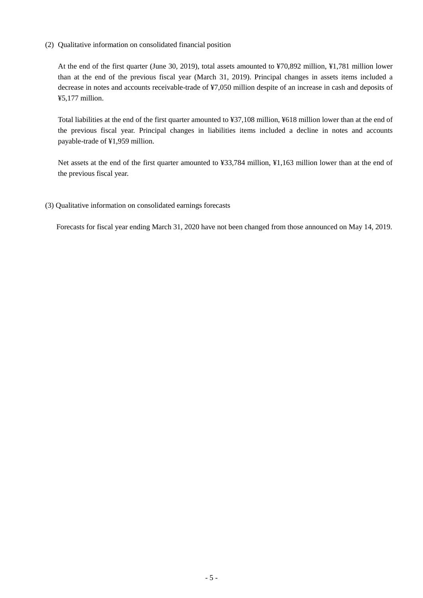(2) Qualitative information on consolidated financial position

At the end of the first quarter (June 30, 2019), total assets amounted to ¥70,892 million, ¥1,781 million lower than at the end of the previous fiscal year (March 31, 2019). Principal changes in assets items included a decrease in notes and accounts receivable-trade of ¥7,050 million despite of an increase in cash and deposits of ¥5,177 million.

Total liabilities at the end of the first quarter amounted to ¥37,108 million, ¥618 million lower than at the end of the previous fiscal year. Principal changes in liabilities items included a decline in notes and accounts payable-trade of ¥1,959 million.

Net assets at the end of the first quarter amounted to ¥33,784 million, ¥1,163 million lower than at the end of the previous fiscal year.

(3) Qualitative information on consolidated earnings forecasts

Forecasts for fiscal year ending March 31, 2020 have not been changed from those announced on May 14, 2019.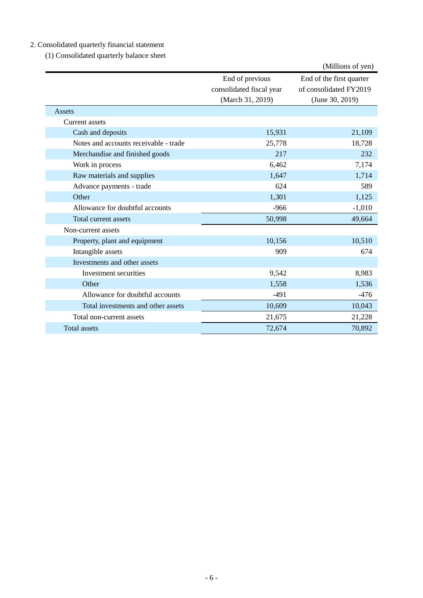# 2. Consolidated quarterly financial statement

(1) Consolidated quarterly balance sheet

|                                       |                                                                 | (Millions of yen)                                                     |
|---------------------------------------|-----------------------------------------------------------------|-----------------------------------------------------------------------|
|                                       | End of previous<br>consolidated fiscal year<br>(March 31, 2019) | End of the first quarter<br>of consolidated FY2019<br>(June 30, 2019) |
| Assets                                |                                                                 |                                                                       |
| Current assets                        |                                                                 |                                                                       |
| Cash and deposits                     | 15,931                                                          | 21,109                                                                |
| Notes and accounts receivable - trade | 25,778                                                          | 18,728                                                                |
| Merchandise and finished goods        | 217                                                             | 232                                                                   |
| Work in process                       | 6,462                                                           | 7,174                                                                 |
| Raw materials and supplies            | 1,647                                                           | 1,714                                                                 |
| Advance payments - trade              | 624                                                             | 589                                                                   |
| Other                                 | 1,301                                                           | 1,125                                                                 |
| Allowance for doubtful accounts       | $-966$                                                          | $-1,010$                                                              |
| Total current assets                  | 50,998                                                          | 49,664                                                                |
| Non-current assets                    |                                                                 |                                                                       |
| Property, plant and equipment         | 10,156                                                          | 10,510                                                                |
| Intangible assets                     | 909                                                             | 674                                                                   |
| Investments and other assets          |                                                                 |                                                                       |
| Investment securities                 | 9,542                                                           | 8,983                                                                 |
| Other                                 | 1,558                                                           | 1,536                                                                 |
| Allowance for doubtful accounts       | $-491$                                                          | $-476$                                                                |
| Total investments and other assets    | 10,609                                                          | 10,043                                                                |
| Total non-current assets              | 21,675                                                          | 21,228                                                                |
| <b>Total assets</b>                   | 72,674                                                          | 70,892                                                                |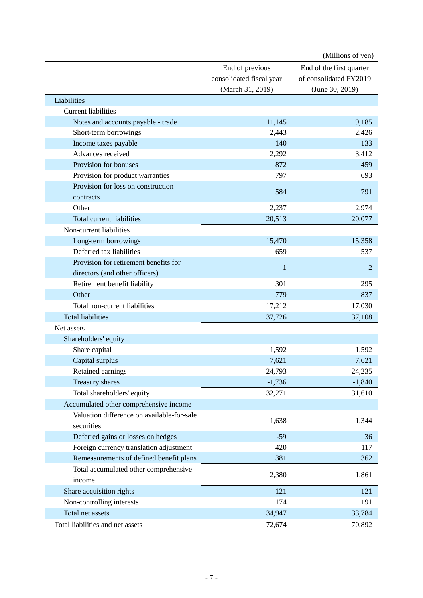|                                            |                          | (Millions of yen)        |
|--------------------------------------------|--------------------------|--------------------------|
|                                            | End of previous          | End of the first quarter |
|                                            | consolidated fiscal year | of consolidated FY2019   |
|                                            | (March 31, 2019)         | (June 30, 2019)          |
| Liabilities                                |                          |                          |
| <b>Current liabilities</b>                 |                          |                          |
| Notes and accounts payable - trade         | 11,145                   | 9,185                    |
| Short-term borrowings                      | 2,443                    | 2,426                    |
| Income taxes payable                       | 140                      | 133                      |
| Advances received                          | 2,292                    | 3,412                    |
| Provision for bonuses                      | 872                      | 459                      |
| Provision for product warranties           | 797                      | 693                      |
| Provision for loss on construction         |                          |                          |
| contracts                                  | 584                      | 791                      |
| Other                                      | 2,237                    | 2,974                    |
| Total current liabilities                  | 20,513                   | 20,077                   |
| Non-current liabilities                    |                          |                          |
| Long-term borrowings                       | 15,470                   | 15,358                   |
| Deferred tax liabilities                   | 659                      | 537                      |
| Provision for retirement benefits for      |                          |                          |
| directors (and other officers)             | 1                        | 2                        |
| Retirement benefit liability               | 301                      | 295                      |
| Other                                      | 779                      | 837                      |
| Total non-current liabilities              | 17,212                   | 17,030                   |
| <b>Total liabilities</b>                   | 37,726                   | 37,108                   |
| Net assets                                 |                          |                          |
| Shareholders' equity                       |                          |                          |
| Share capital                              | 1,592                    | 1,592                    |
| Capital surplus                            | 7,621                    | 7,621                    |
| Retained earnings                          | 24,793                   | 24,235                   |
| <b>Treasury shares</b>                     | $-1,736$                 | $-1,840$                 |
| Total shareholders' equity                 | 32,271                   | 31,610                   |
| Accumulated other comprehensive income     |                          |                          |
| Valuation difference on available-for-sale |                          |                          |
| securities                                 | 1,638                    | 1,344                    |
| Deferred gains or losses on hedges         | $-59$                    | 36                       |
| Foreign currency translation adjustment    | 420                      | 117                      |
| Remeasurements of defined benefit plans    | 381                      | 362                      |
| Total accumulated other comprehensive      |                          |                          |
| income                                     | 2,380                    | 1,861                    |
| Share acquisition rights                   | 121                      | 121                      |
| Non-controlling interests                  | 174                      | 191                      |
| Total net assets                           | 34,947                   | 33,784                   |
| Total liabilities and net assets           | 72,674                   | 70,892                   |
|                                            |                          |                          |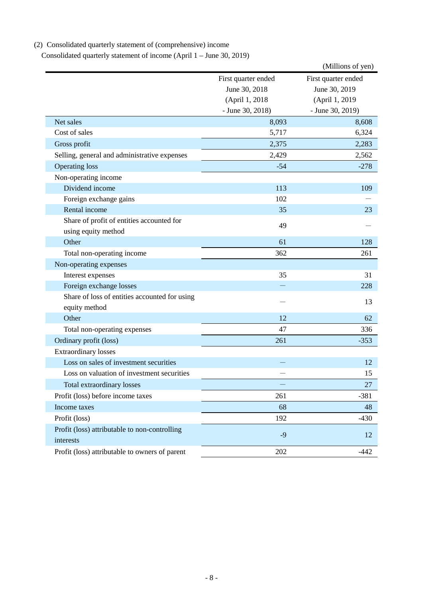# (2) Consolidated quarterly statement of (comprehensive) income

Consolidated quarterly statement of income (April 1 – June 30, 2019)

|                                                                  |                     | (Millions of yen)   |
|------------------------------------------------------------------|---------------------|---------------------|
|                                                                  | First quarter ended | First quarter ended |
|                                                                  | June 30, 2018       | June 30, 2019       |
|                                                                  | (April 1, 2018      | (April 1, 2019)     |
|                                                                  | $-$ June 30, 2018)  | - June 30, 2019)    |
| Net sales                                                        | 8,093               | 8,608               |
| Cost of sales                                                    | 5,717               | 6,324               |
| Gross profit                                                     | 2,375               | 2,283               |
| Selling, general and administrative expenses                     | 2,429               | 2,562               |
| <b>Operating loss</b>                                            | $-54$               | $-278$              |
| Non-operating income                                             |                     |                     |
| Dividend income                                                  | 113                 | 109                 |
| Foreign exchange gains                                           | 102                 |                     |
| Rental income                                                    | 35                  | 23                  |
| Share of profit of entities accounted for<br>using equity method | 49                  |                     |
| Other                                                            | 61                  | 128                 |
| Total non-operating income                                       | 362                 | 261                 |
| Non-operating expenses                                           |                     |                     |
| Interest expenses                                                | 35                  | 31                  |
| Foreign exchange losses                                          |                     | 228                 |
| Share of loss of entities accounted for using                    |                     | 13                  |
| equity method                                                    |                     |                     |
| Other                                                            | 12                  | 62                  |
| Total non-operating expenses                                     | 47                  | 336                 |
| Ordinary profit (loss)                                           | 261                 | $-353$              |
| <b>Extraordinary losses</b>                                      |                     |                     |
| Loss on sales of investment securities                           |                     | 12                  |
| Loss on valuation of investment securities                       |                     | 15                  |
| Total extraordinary losses                                       |                     | 27                  |
| Profit (loss) before income taxes                                | 261                 | $-381$              |
| Income taxes                                                     | 68                  | 48                  |
| Profit (loss)                                                    | 192                 | $-430$              |
| Profit (loss) attributable to non-controlling<br>interests       | $-9$                | 12                  |
| Profit (loss) attributable to owners of parent                   | 202                 | $-442$              |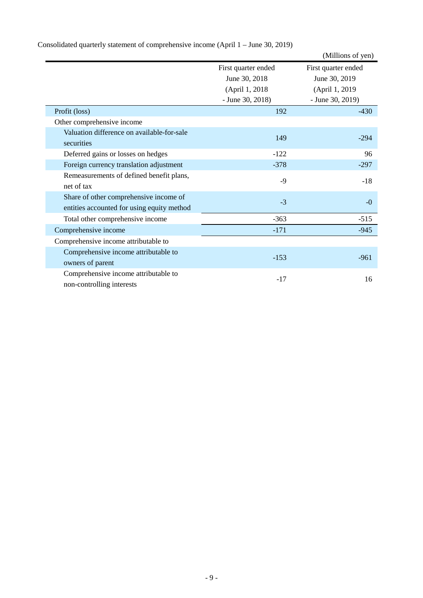|                                            |                     | (Millions of yen)   |
|--------------------------------------------|---------------------|---------------------|
|                                            | First quarter ended | First quarter ended |
|                                            | June 30, 2018       | June 30, 2019       |
|                                            | (April 1, 2018)     | (April 1, 2019)     |
|                                            | - June 30, 2018)    | - June 30, 2019)    |
| Profit (loss)                              | 192                 | $-430$              |
| Other comprehensive income                 |                     |                     |
| Valuation difference on available-for-sale | 149                 | $-294$              |
| securities                                 |                     |                     |
| Deferred gains or losses on hedges         | $-122$              | 96                  |
| Foreign currency translation adjustment    | $-378$              | $-297$              |
| Remeasurements of defined benefit plans,   | $-9$                | $-18$               |
| net of tax                                 |                     |                     |
| Share of other comprehensive income of     | $-3$                | $-0$                |
| entities accounted for using equity method |                     |                     |
| Total other comprehensive income           | $-363$              | $-515$              |
| Comprehensive income                       | $-171$              | $-945$              |
| Comprehensive income attributable to       |                     |                     |
| Comprehensive income attributable to       |                     |                     |
| owners of parent                           | $-153$              | $-961$              |
| Comprehensive income attributable to       | $-17$               | 16                  |
| non-controlling interests                  |                     |                     |

Consolidated quarterly statement of comprehensive income (April 1 – June 30, 2019)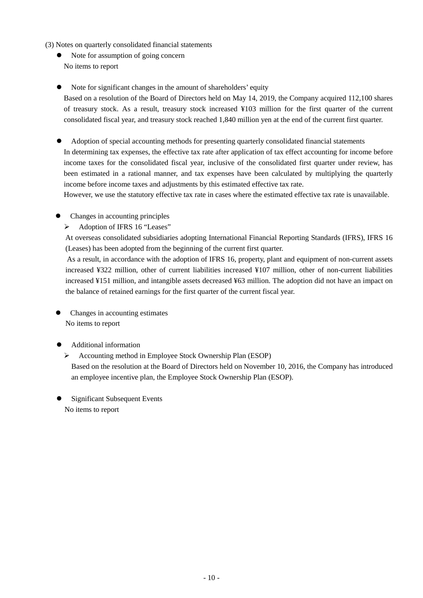- (3) Notes on quarterly consolidated financial statements
	- Note for assumption of going concern No items to report
	- Note for significant changes in the amount of shareholders' equity

Based on a resolution of the Board of Directors held on May 14, 2019, the Company acquired 112,100 shares of treasury stock. As a result, treasury stock increased ¥103 million for the first quarter of the current consolidated fiscal year, and treasury stock reached 1,840 million yen at the end of the current first quarter.

 Adoption of special accounting methods for presenting quarterly consolidated financial statements In determining tax expenses, the effective tax rate after application of tax effect accounting for income before income taxes for the consolidated fiscal year, inclusive of the consolidated first quarter under review, has been estimated in a rational manner, and tax expenses have been calculated by multiplying the quarterly income before income taxes and adjustments by this estimated effective tax rate.

However, we use the statutory effective tax rate in cases where the estimated effective tax rate is unavailable.

- Changes in accounting principles
	- Adoption of IFRS 16 "Leases"

At overseas consolidated subsidiaries adopting International Financial Reporting Standards (IFRS), IFRS 16 (Leases) has been adopted from the beginning of the current first quarter.

As a result, in accordance with the adoption of IFRS 16, property, plant and equipment of non-current assets increased ¥322 million, other of current liabilities increased ¥107 million, other of non-current liabilities increased ¥151 million, and intangible assets decreased ¥63 million. The adoption did not have an impact on the balance of retained earnings for the first quarter of the current fiscal year.

 Changes in accounting estimates No items to report

## Additional information

 $\triangleright$  Accounting method in Employee Stock Ownership Plan (ESOP) Based on the resolution at the Board of Directors held on November 10, 2016, the Company has introduced an employee incentive plan, the Employee Stock Ownership Plan (ESOP).

 Significant Subsequent Events No items to report